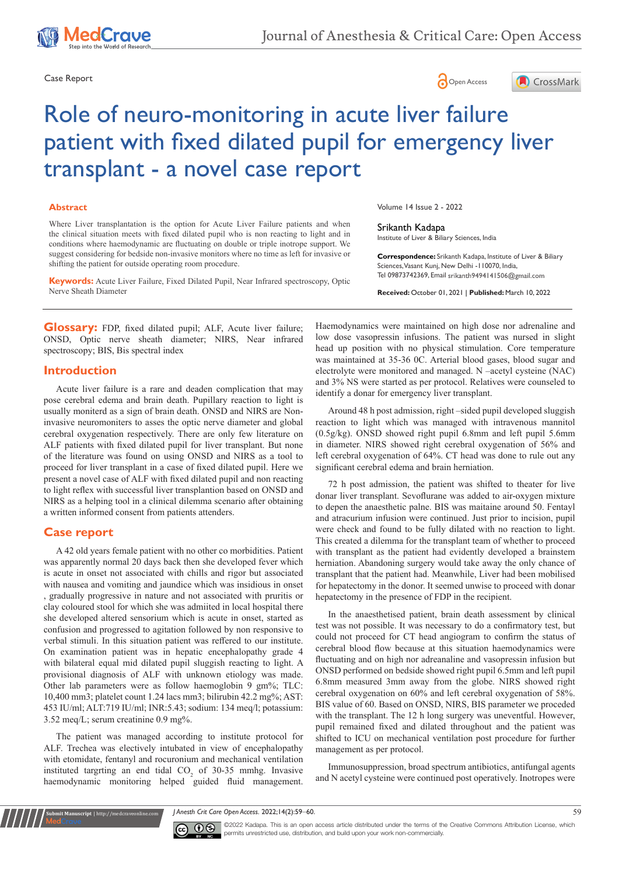





# Role of neuro-monitoring in acute liver failure patient with fixed dilated pupil for emergency liver transplant - a novel case report

### **Abstract**

Where Liver transplantation is the option for Acute Liver Failure patients and when the clinical situation meets with fixed dilated pupil who is non reacting to light and in conditions where haemodynamic are fluctuating on double or triple inotrope support. We suggest considering for bedside non-invasive monitors where no time as left for invasive or shifting the patient for outside operating room procedure.

**Keywords:** Acute Liver Failure, Fixed Dilated Pupil, Near Infrared spectroscopy, Optic Nerve Sheath Diameter

**Glossary:** FDP, fixed dilated pupil; ALF, Acute liver failure; ONSD, Optic nerve sheath diameter; NIRS, Near infrared spectroscopy; BIS, Bis spectral index

## **Introduction**

Acute liver failure is a rare and deaden complication that may pose cerebral edema and brain death. Pupillary reaction to light is usually moniterd as a sign of brain death. ONSD and NIRS are Noninvasive neuromoniters to asses the optic nerve diameter and global cerebral oxygenation respectively. There are only few literature on ALF patients with fixed dilated pupil for liver transplant. But none of the literature was found on using ONSD and NIRS as a tool to proceed for liver transplant in a case of fixed dilated pupil. Here we present a novel case of ALF with fixed dilated pupil and non reacting to light reflex with successful liver transplantion based on ONSD and NIRS as a helping tool in a clinical dilemma scenario after obtaining a written informed consent from patients attenders.

# **Case report**

A 42 old years female patient with no other co morbidities. Patient was apparently normal 20 days back then she developed fever which is acute in onset not associated with chills and rigor but associated with nausea and vomiting and jaundice which was insidious in onset , gradually progressive in nature and not associated with pruritis or clay coloured stool for which she was admiited in local hospital there she developed altered sensorium which is acute in onset, started as confusion and progressed to agitation followed by non responsive to verbal stimuli. In this situation patient was reffered to our institute. On examination patient was in hepatic encephalopathy grade 4 with bilateral equal mid dilated pupil sluggish reacting to light. A provisional diagnosis of ALF with unknown etiology was made. Other lab parameters were as follow haemoglobin 9 gm%; TLC: 10,400 mm3; platelet count 1.24 lacs mm3; bilirubin 42.2 mg%; AST: 453 IU/ml; ALT:719 IU/ml; INR:5.43; sodium: 134 meq/l; potassium: 3.52 meq/L; serum creatinine 0.9 mg%.

The patient was managed according to institute protocol for ALF. Trechea was electively intubated in view of encephalopathy with etomidate, fentanyl and rocuronium and mechanical ventilation instituted targrting an end tidal  $CO_2$  of 30-35 mmhg. Invasive haemodynamic monitoring helped guided fluid management.

**it Manuscript** | http://medcraveonline.c

Volume 14 Issue 2 - 2022

#### Srikanth Kadapa

Institute of Liver & Biliary Sciences, India

**Correspondence:** Srikanth Kadapa, Institute of Liver & Biliary Sciences, Vasant Kunj, New Delhi -110070, India, Tel 09873742369, Email srikanth9494141506@gmail.com

**Received:** October 01, 2021 | **Published:** March 10, 2022

Haemodynamics were maintained on high dose nor adrenaline and low dose vasopressin infusions. The patient was nursed in slight head up position with no physical stimulation. Core temperature was maintained at 35-36 0C. Arterial blood gases, blood sugar and electrolyte were monitored and managed. N –acetyl cysteine (NAC) and 3% NS were started as per protocol. Relatives were counseled to identify a donar for emergency liver transplant.

Around 48 h post admission, right –sided pupil developed sluggish reaction to light which was managed with intravenous mannitol (0.5g/kg). ONSD showed right pupil 6.8mm and left pupil 5.6mm in diameter. NIRS showed right cerebral oxygenation of 56% and left cerebral oxygenation of 64%. CT head was done to rule out any significant cerebral edema and brain herniation.

72 h post admission, the patient was shifted to theater for live donar liver transplant. Sevoflurane was added to air-oxygen mixture to depen the anaesthetic palne. BIS was maitaine around 50. Fentayl and atracurium infusion were continued. Just prior to incision, pupil were check and found to be fully dilated with no reaction to light. This created a dilemma for the transplant team of whether to proceed with transplant as the patient had evidently developed a brainstem herniation. Abandoning surgery would take away the only chance of transplant that the patient had. Meanwhile, Liver had been mobilised for hepatectomy in the donor. It seemed unwise to proceed with donar hepatectomy in the presence of FDP in the recipient.

In the anaesthetised patient, brain death assessment by clinical test was not possible. It was necessary to do a confirmatory test, but could not proceed for CT head angiogram to confirm the status of cerebral blood flow because at this situation haemodynamics were fluctuating and on high nor adreanaline and vasopressin infusion but ONSD performed on bedside showed right pupil 6.5mm and left pupil 6.8mm measured 3mm away from the globe. NIRS showed right cerebral oxygenation on 60% and left cerebral oxygenation of 58%. BIS value of 60. Based on ONSD, NIRS, BIS parameter we proceded with the transplant. The 12 h long surgery was uneventful. However, pupil remained fixed and dilated throughout and the patient was shifted to ICU on mechanical ventilation post procedure for further management as per protocol.

Immunosuppression, broad spectrum antibiotics, antifungal agents and N acetyl cysteine were continued post operatively. Inotropes were

*J Anesth Crit Care Open Access.* 2022;14(2):59‒60. 59



 $\overline{\text{cc}}$   $\overline{\text{C}}$   $\odot$  2022 Kadapa. This is an open access article distributed under the terms of the [Creative Commons Attribution License](https://creativecommons.org/licenses/by-nc/4.0/), which permits unrestricted use, distribution, and build upon your work non-commercially.